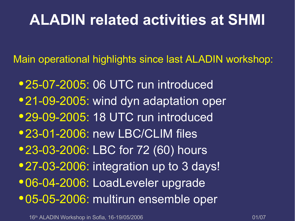Main operational highlights since last ALADIN workshop:

● 25-07-2005: 06 UTC run introduced • 21-09-2005: wind dyn adaptation oper • 29-09-2005: 18 UTC run introduced • 23-01-2006: new LBC/CLIM files • 23-03-2006: LBC for 72 (60) hours • 27-03-2006: integration up to 3 days! ● 06-04-2006: LoadLeveler upgrade ● 05-05-2006: multirun ensemble oper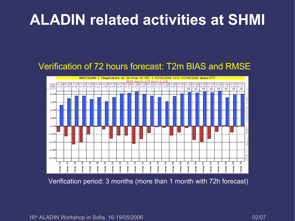#### Verification of 72 hours forecast: T2m BIAS and RMSE



Verification period: 3 months (more than 1 month with 72h forecast)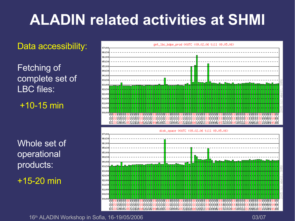Data accessibility:

Fetching of complete set of LBC files:

+10-15 min

Whole set of operational products:

 $+15-20$  min

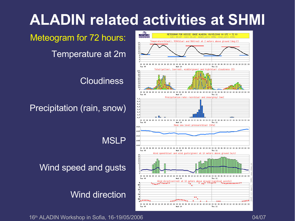Meteogram for 72 hours:

Temperature at 2m

**Cloudiness** 

Precipitation (rain, snow)

**MSLP** 

Wind speed and gusts

Wind direction



16<sup>th</sup> ALADIN Workshop in Sofia, 16-19/05/2006 **04/07** 04/07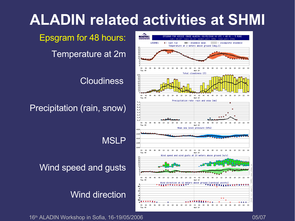Epsgram for 48 hours:

Temperature at 2m

**Cloudiness** 

Precipitation (rain, snow)

**MSLP** 

Wind speed and gusts

Wind direction



16<sup>th</sup> ALADIN Workshop in Sofia, 16-19/05/2006 **05/07** 05/07 05/07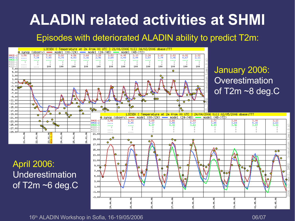#### Episodes with deteriorated ALADIN ability to predict T2m:



 $\frac{3.13}{2.63}$ 

5. OI

তত

ঙ

 $02.05.$ 

ŏ.

۰

ŵ